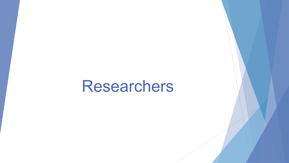# Researchers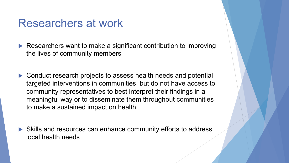#### Researchers at work

- Researchers want to make a significant contribution to improving the lives of community members
- ▶ Conduct research projects to assess health needs and potential targeted interventions in communities, but do not have access to community representatives to best interpret their findings in a meaningful way or to disseminate them throughout communities to make a sustained impact on health
- $\blacktriangleright$  Skills and resources can enhance community efforts to address local health needs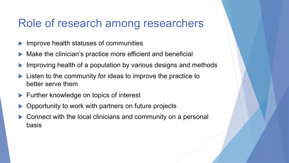### Role of research among researchers

- Improve health statuses of communities
- Make the clinician's practice more efficient and beneficial
- Improving health of a population by various designs and methods
- Listen to the community for ideas to improve the practice to better serve them
- $\blacktriangleright$  Further knowledge on topics of interest
- Opportunity to work with partners on future projects
- $\triangleright$  Connect with the local clinicians and community on a personal basis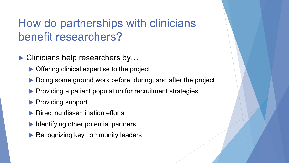## How do partnerships with clinicians benefit researchers?

- $\blacktriangleright$  Clinicians help researchers by...
	- $\triangleright$  Offering clinical expertise to the project
	- $\blacktriangleright$  Doing some ground work before, during, and after the project
	- $\blacktriangleright$  Providing a patient population for recruitment strategies
	- $\blacktriangleright$  Providing support
	- $\blacktriangleright$  Directing dissemination efforts
	- $\blacktriangleright$  Identifying other potential partners
	- $\blacktriangleright$  Recognizing key community leaders